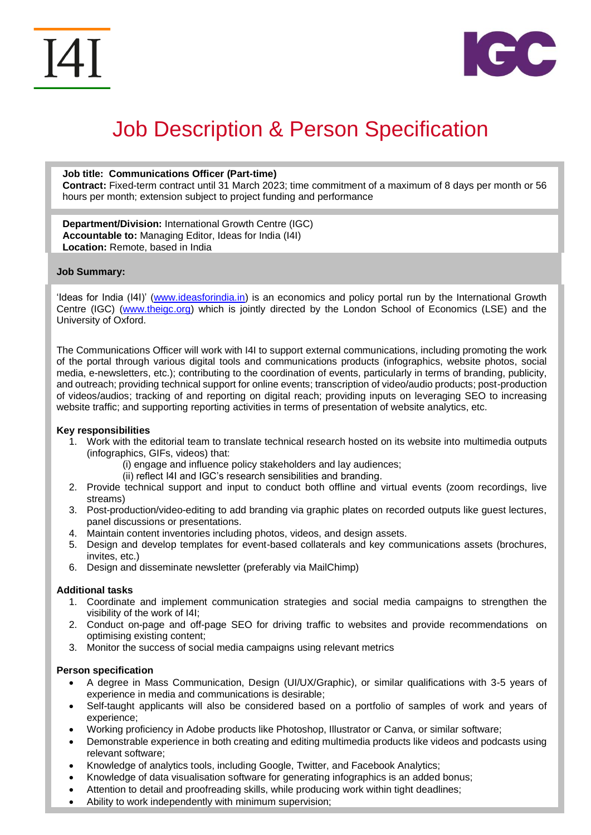



# Job Description & Person Specification

**Job title: Communications Officer (Part-time) Contract:** Fixed-term contract until 31 March 2023; time commitment of a maximum of 8 days per month or 56 hours per month; extension subject to project funding and performance

**Department/Division:** International Growth Centre (IGC) **Accountable to:** Managing Editor, Ideas for India (I4I) **Location:** Remote, based in India

## **Job Summary:**

'Ideas for India (I4I)' [\(www.ideasforindia.in\)](http://www.ideasforindia.in/) is an economics and policy portal run by the International Growth Centre (IGC) [\(www.theigc.org\)](http://www.theigc.org/) which is jointly directed by the London School of Economics (LSE) and the University of Oxford.

The Communications Officer will work with I4I to support external communications, including promoting the work of the portal through various digital tools and communications products (infographics, website photos, social media, e-newsletters, etc.); contributing to the coordination of events, particularly in terms of branding, publicity, and outreach; providing technical support for online events; transcription of video/audio products; post-production of videos/audios; tracking of and reporting on digital reach; providing inputs on leveraging SEO to increasing website traffic; and supporting reporting activities in terms of presentation of website analytics, etc.

#### **Key responsibilities**

- 1. Work with the editorial team to translate technical research hosted on its website into multimedia outputs (infographics, GIFs, videos) that:
	- (i) engage and influence policy stakeholders and lay audiences;
	- (ii) reflect I4I and IGC's research sensibilities and branding.
- 2. Provide technical support and input to conduct both offline and virtual events (zoom recordings, live streams)
- 3. Post-production/video-editing to add branding via graphic plates on recorded outputs like guest lectures, panel discussions or presentations.
- 4. Maintain content inventories including photos, videos, and design assets.
- 5. Design and develop templates for event-based collaterals and key communications assets (brochures, invites, etc.)
- 6. Design and disseminate newsletter (preferably via MailChimp)

#### **Additional tasks**

- 1. Coordinate and implement communication strategies and social media campaigns to strengthen the visibility of the work of I4I;
- 2. Conduct on-page and off-page SEO for driving traffic to websites and provide recommendations on optimising existing content;
- 3. Monitor the success of social media campaigns using relevant metrics

# **Person specification**

- A degree in Mass Communication, Design (UI/UX/Graphic), or similar qualifications with 3-5 years of experience in media and communications is desirable;
- Self-taught applicants will also be considered based on a portfolio of samples of work and years of experience;
- Working proficiency in Adobe products like Photoshop, Illustrator or Canva, or similar software;
- Demonstrable experience in both creating and editing multimedia products like videos and podcasts using relevant software;
- Knowledge of analytics tools, including Google, Twitter, and Facebook Analytics;
- Knowledge of data visualisation software for generating infographics is an added bonus;
- Attention to detail and proofreading skills, while producing work within tight deadlines;
- Ability to work independently with minimum supervision;